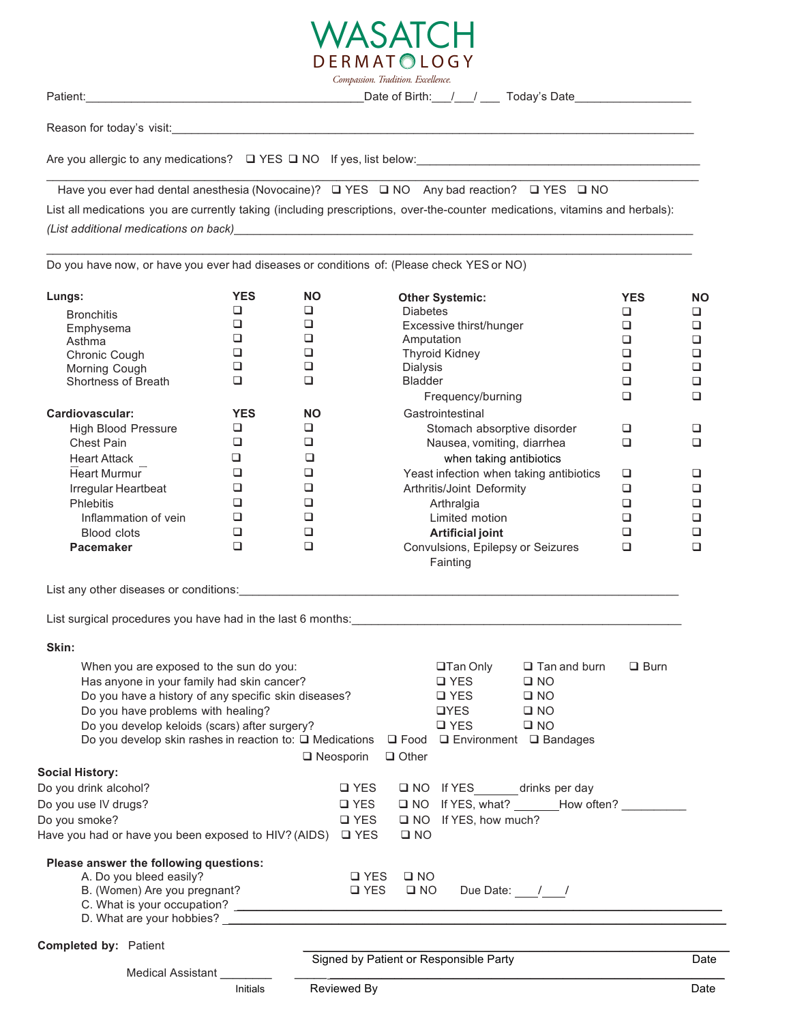| <b>WASATCH</b>     |  |
|--------------------|--|
| <b>DERMATOLOGY</b> |  |

Patient:\_\_\_\_\_\_\_\_\_\_\_\_\_\_\_\_\_\_\_\_\_\_\_\_\_\_\_\_\_\_\_\_\_\_\_\_\_\_\_\_\_\_\_Date of Birth:\_\_\_/\_\_\_/ \_\_\_ Today's Date\_\_\_\_\_\_\_\_\_\_\_\_\_\_\_\_\_\_ *Compassion. Tradition. Excellence.*

Reason for today's visit:

Are you allergic to any medications? q YES q NO If yes, list below:\_\_\_\_\_\_\_\_\_\_\_\_\_\_\_\_\_\_\_\_\_\_\_\_\_\_\_\_\_\_\_\_\_\_\_\_\_\_\_\_\_\_\_

Have you ever had dental anesthesia (Novocaine)?  $\Box$  YES  $\Box$  NO Any bad reaction?  $\Box$  YES  $\Box$  NO

List all medications you are currently taking (including prescriptions, over-the-counter medications, vitamins and herbals):

\_\_\_\_\_\_\_\_\_\_\_\_\_\_\_\_\_\_\_\_\_\_\_\_\_\_\_\_\_\_\_\_\_\_\_\_\_\_\_\_\_\_\_\_\_\_\_\_\_\_\_\_\_\_\_\_\_\_\_\_\_\_\_\_\_\_\_\_\_\_\_\_\_\_\_\_\_\_\_\_\_\_\_\_\_\_\_\_\_\_\_\_\_\_\_\_\_\_\_\_\_\_\_

\_\_\_\_\_\_\_\_\_\_\_\_\_\_\_\_\_\_\_\_\_\_\_\_\_\_\_\_\_\_\_\_\_\_\_\_\_\_\_\_\_\_\_\_\_\_\_\_\_\_\_\_\_\_\_\_\_\_\_\_\_\_\_\_\_\_\_\_\_\_\_\_\_\_\_\_\_\_\_\_\_\_\_\_\_\_\_\_\_\_\_\_\_\_\_\_\_\_\_

*(List additional medications on back)*\_\_\_\_\_\_\_\_\_\_\_\_\_\_\_\_\_\_\_\_\_\_\_\_\_\_\_\_\_\_\_\_\_\_\_\_\_\_\_\_\_\_\_\_\_\_\_\_\_\_\_\_\_\_\_\_\_\_\_\_\_\_\_\_\_\_\_\_\_\_\_

Do you have now, or have you ever had diseases or conditions of: (Please check YES or NO)

| Lungs:                     | <b>YES</b> | <b>NO</b> | <b>Other Systemic:</b>                        | <b>YES</b> | <b>NO</b> |
|----------------------------|------------|-----------|-----------------------------------------------|------------|-----------|
| <b>Bronchitis</b>          |            |           | <b>Diabetes</b>                               | ┒          | □         |
| Emphysema                  |            |           | Excessive thirst/hunger                       |            |           |
| Asthma                     |            |           | Amputation                                    |            |           |
| Chronic Cough              |            |           | Thyroid Kidney                                |            |           |
| Morning Cough              |            |           | <b>Dialysis</b>                               |            |           |
| Shortness of Breath        |            | ❏         | <b>Bladder</b>                                |            |           |
|                            |            |           | Frequency/burning                             |            |           |
| Cardiovascular:            | <b>YES</b> | <b>NO</b> | Gastrointestinal                              |            |           |
| <b>High Blood Pressure</b> |            | ⊐         | Stomach absorptive disorder                   | □          |           |
| Chest Pain                 |            | ┚         | Nausea, vomiting, diarrhea                    | ⊔          |           |
| <b>Heart Attack</b>        |            |           | when taking antibiotics                       |            |           |
| <b>Heart Murmur</b>        | □          | ⊔         | Yeast infection when taking antibiotics       | □          |           |
| Irregular Heartbeat        |            |           | Arthritis/Joint Deformity                     |            |           |
| <b>Phlebitis</b>           | ┚          |           | Arthralgia                                    |            |           |
| Inflammation of vein       | ⊔          |           | Limited motion                                |            |           |
| <b>Blood clots</b>         |            |           | <b>Artificial joint</b>                       |            |           |
| <b>Pacemaker</b>           | ┚          | □         | Convulsions, Epilepsy or Seizures<br>Fainting | П          |           |

List any other diseases or conditions:\_\_\_\_\_\_\_\_\_\_\_\_\_\_\_\_\_\_\_\_\_\_\_\_\_\_\_\_\_\_\_\_\_\_\_\_\_\_\_\_\_\_\_\_\_\_\_\_\_\_\_\_\_\_\_\_\_\_\_\_\_\_\_\_\_\_

List surgical procedures you have had in the last 6 months: Let us and the last of the last of months of the last of months of the last of months of the last of the last of months of the last of the last of the last of the

## **Skin:**

| When you are exposed to the sun do you:<br>Has anyone in your family had skin cancer?<br>Do you have a history of any specific skin diseases?<br>Do you have problems with healing? |                                        | $\square$ Tan Only<br>$\Box$ YES<br>$\Box$ YES<br><b>OYES</b> | $\Box$ Tan and burn<br>$\square$ NO<br>$\square$ NO<br>$\square$ NO | $\Box$ Burn |
|-------------------------------------------------------------------------------------------------------------------------------------------------------------------------------------|----------------------------------------|---------------------------------------------------------------|---------------------------------------------------------------------|-------------|
| Do you develop keloids (scars) after surgery?                                                                                                                                       | $\square$ YES                          | $\square$ NO                                                  |                                                                     |             |
| Do you develop skin rashes in reaction to: □ Medications □ Food □ Environment □ Bandages                                                                                            |                                        |                                                               |                                                                     |             |
|                                                                                                                                                                                     | $\Box$ Other<br>$\Box$ Neosporin       |                                                               |                                                                     |             |
| <b>Social History:</b>                                                                                                                                                              |                                        |                                                               |                                                                     |             |
| Do you drink alcohol?                                                                                                                                                               | <b>Q</b> YES                           | □ NO If YES _______ drinks per day                            |                                                                     |             |
| Do you use IV drugs?                                                                                                                                                                | $\square$ YES                          |                                                               | □ NO If YES, what? How often?                                       |             |
| Do you smoke?                                                                                                                                                                       | $\Box$ YES                             | $\Box$ NO If YES, how much?                                   |                                                                     |             |
| Have you had or have you been exposed to HIV? (AIDS)                                                                                                                                | $\Box$ YES<br>$\square$ NO             |                                                               |                                                                     |             |
| Please answer the following questions:                                                                                                                                              |                                        |                                                               |                                                                     |             |
| A. Do you bleed easily?                                                                                                                                                             | <b>Q</b> YES                           | $\square$ NO                                                  |                                                                     |             |
| B. (Women) Are you pregnant?                                                                                                                                                        | $\square$ YES                          | $\square$ NO                                                  | Due Date: / /                                                       |             |
|                                                                                                                                                                                     |                                        |                                                               |                                                                     |             |
|                                                                                                                                                                                     |                                        |                                                               |                                                                     |             |
| <b>Completed by: Patient</b>                                                                                                                                                        |                                        |                                                               |                                                                     |             |
|                                                                                                                                                                                     | Signed by Patient or Responsible Party |                                                               |                                                                     | Date        |
| Medical Assistant                                                                                                                                                                   |                                        |                                                               |                                                                     |             |
| Initials                                                                                                                                                                            | Reviewed By                            |                                                               |                                                                     | Date        |